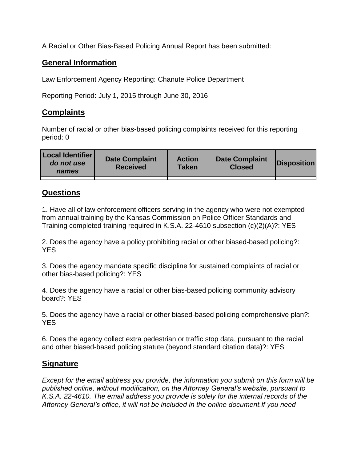A Racial or Other Bias-Based Policing Annual Report has been submitted:

## **General Information**

Law Enforcement Agency Reporting: Chanute Police Department

Reporting Period: July 1, 2015 through June 30, 2016

## **Complaints**

Number of racial or other bias-based policing complaints received for this reporting period: 0

| <b>Local Identifier</b><br>do not use<br>names | <b>Date Complaint</b><br><b>Received</b> | <b>Action</b><br><b>Taken</b> | <b>Date Complaint</b><br><b>Closed</b> | Disposition |
|------------------------------------------------|------------------------------------------|-------------------------------|----------------------------------------|-------------|
|                                                |                                          |                               |                                        |             |

## **Questions**

1. Have all of law enforcement officers serving in the agency who were not exempted from annual training by the Kansas Commission on Police Officer Standards and Training completed training required in K.S.A. 22-4610 subsection (c)(2)(A)?: YES

2. Does the agency have a policy prohibiting racial or other biased-based policing?: YES

3. Does the agency mandate specific discipline for sustained complaints of racial or other bias-based policing?: YES

4. Does the agency have a racial or other bias-based policing community advisory board?: YES

5. Does the agency have a racial or other biased-based policing comprehensive plan?: YES

6. Does the agency collect extra pedestrian or traffic stop data, pursuant to the racial and other biased-based policing statute (beyond standard citation data)?: YES

## **Signature**

*Except for the email address you provide, the information you submit on this form will be published online, without modification, on the Attorney General's website, pursuant to K.S.A. 22-4610. The email address you provide is solely for the internal records of the Attorney General's office, it will not be included in the online document.If you need*